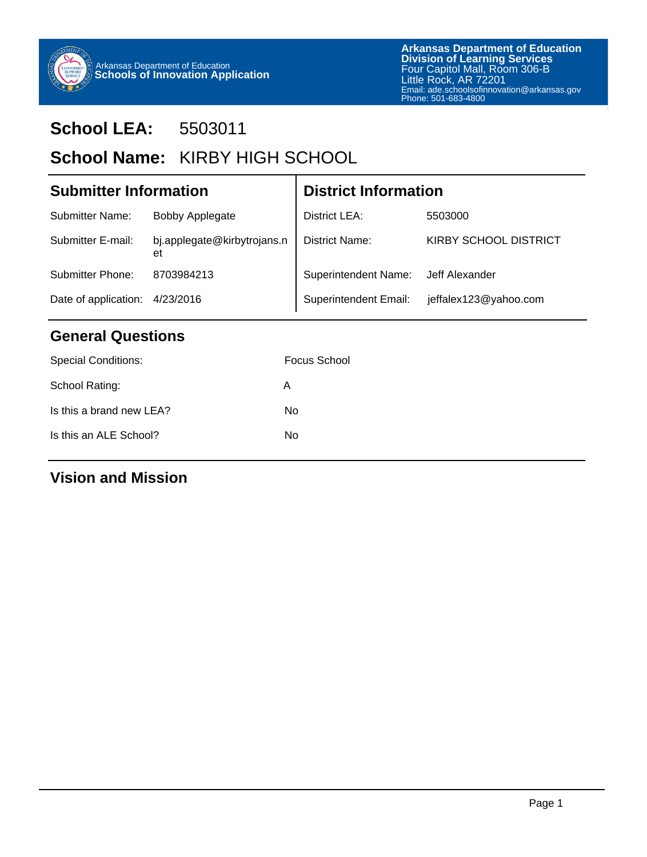

### **School LEA:** 5503011

### School Name: KIRBY HIGH SCHOOL

| <b>Submitter Information</b>   |                                   | <b>District Information</b>  |                              |
|--------------------------------|-----------------------------------|------------------------------|------------------------------|
| <b>Submitter Name:</b>         | <b>Bobby Applegate</b>            | <b>District LEA:</b>         | 5503000                      |
| Submitter E-mail:              | bj.applegate@kirbytrojans.n<br>et | <b>District Name:</b>        | <b>KIRBY SCHOOL DISTRICT</b> |
| Submitter Phone:               | 8703984213                        | Superintendent Name:         | Jeff Alexander               |
| Date of application: 4/23/2016 |                                   | <b>Superintendent Email:</b> | jeffalex123@yahoo.com        |

### **General Questions**

| <b>Special Conditions:</b> | <b>Focus School</b> |
|----------------------------|---------------------|
| School Rating:             | A                   |
| Is this a brand new LEA?   | No.                 |
| Is this an ALE School?     | No.                 |
|                            |                     |

#### **Vision and Mission**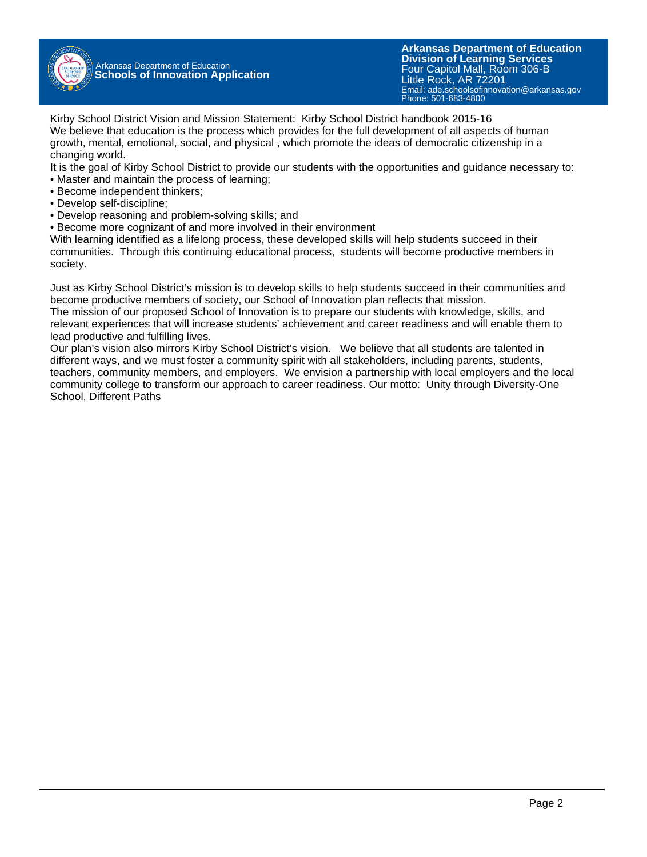

**Arkansas Department of Education** Email: ade.schoolsofinnovation@arkansas.gov **Division of Learning Services** Four Capitol Mall, Room 306-B Little Rock, AR 72201 Phone: 501-683-4800

Kirby School District Vision and Mission Statement: Kirby School District handbook 2015-16 We believe that education is the process which provides for the full development of all aspects of human growth, mental, emotional, social, and physical , which promote the ideas of democratic citizenship in a changing world.

It is the goal of Kirby School District to provide our students with the opportunities and guidance necessary to:

- Master and maintain the process of learning;
- Become independent thinkers;
- Develop self-discipline;
- Develop reasoning and problem-solving skills; and

• Become more cognizant of and more involved in their environment

With learning identified as a lifelong process, these developed skills will help students succeed in their communities. Through this continuing educational process, students will become productive members in society.

Just as Kirby School District's mission is to develop skills to help students succeed in their communities and become productive members of society, our School of Innovation plan reflects that mission. The mission of our proposed School of Innovation is to prepare our students with knowledge, skills, and

relevant experiences that will increase students' achievement and career readiness and will enable them to lead productive and fulfilling lives.

Our plan's vision also mirrors Kirby School District's vision. We believe that all students are talented in different ways, and we must foster a community spirit with all stakeholders, including parents, students, teachers, community members, and employers. We envision a partnership with local employers and the local community college to transform our approach to career readiness. Our motto: Unity through Diversity-One School, Different Paths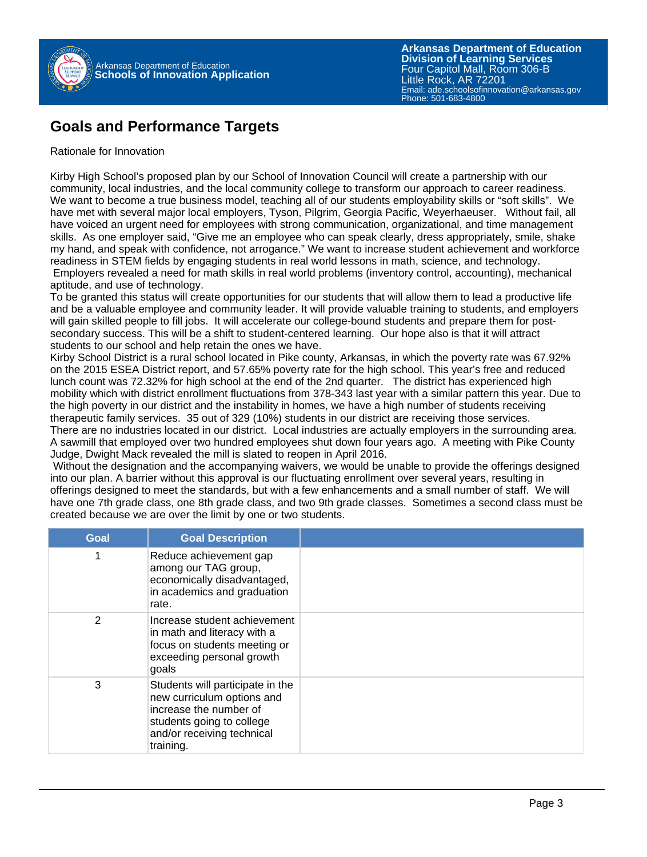

### **Goals and Performance Targets**

#### Rationale for Innovation

Kirby High School's proposed plan by our School of Innovation Council will create a partnership with our community, local industries, and the local community college to transform our approach to career readiness. We want to become a true business model, teaching all of our students employability skills or "soft skills". We have met with several major local employers, Tyson, Pilgrim, Georgia Pacific, Weyerhaeuser. Without fail, all have voiced an urgent need for employees with strong communication, organizational, and time management skills. As one employer said, "Give me an employee who can speak clearly, dress appropriately, smile, shake my hand, and speak with confidence, not arrogance." We want to increase student achievement and workforce readiness in STEM fields by engaging students in real world lessons in math, science, and technology. Employers revealed a need for math skills in real world problems (inventory control, accounting), mechanical aptitude, and use of technology.

To be granted this status will create opportunities for our students that will allow them to lead a productive life and be a valuable employee and community leader. It will provide valuable training to students, and employers will gain skilled people to fill jobs. It will accelerate our college-bound students and prepare them for postsecondary success. This will be a shift to student-centered learning. Our hope also is that it will attract students to our school and help retain the ones we have.

Kirby School District is a rural school located in Pike county, Arkansas, in which the poverty rate was 67.92% on the 2015 ESEA District report, and 57.65% poverty rate for the high school. This year's free and reduced lunch count was 72.32% for high school at the end of the 2nd quarter. The district has experienced high mobility which with district enrollment fluctuations from 378-343 last year with a similar pattern this year. Due to the high poverty in our district and the instability in homes, we have a high number of students receiving therapeutic family services. 35 out of 329 (10%) students in our district are receiving those services. There are no industries located in our district. Local industries are actually employers in the surrounding area. A sawmill that employed over two hundred employees shut down four years ago. A meeting with Pike County Judge, Dwight Mack revealed the mill is slated to reopen in April 2016.

 Without the designation and the accompanying waivers, we would be unable to provide the offerings designed into our plan. A barrier without this approval is our fluctuating enrollment over several years, resulting in offerings designed to meet the standards, but with a few enhancements and a small number of staff. We will have one 7th grade class, one 8th grade class, and two 9th grade classes. Sometimes a second class must be created because we are over the limit by one or two students.

| <b>Goal</b> | <b>Goal Description</b>                                                                                                                                          |  |
|-------------|------------------------------------------------------------------------------------------------------------------------------------------------------------------|--|
|             | Reduce achievement gap<br>among our TAG group,<br>economically disadvantaged,<br>in academics and graduation<br>rate.                                            |  |
| 2           | Increase student achievement<br>in math and literacy with a<br>focus on students meeting or<br>exceeding personal growth<br>goals                                |  |
| 3           | Students will participate in the<br>new curriculum options and<br>increase the number of<br>students going to college<br>and/or receiving technical<br>training. |  |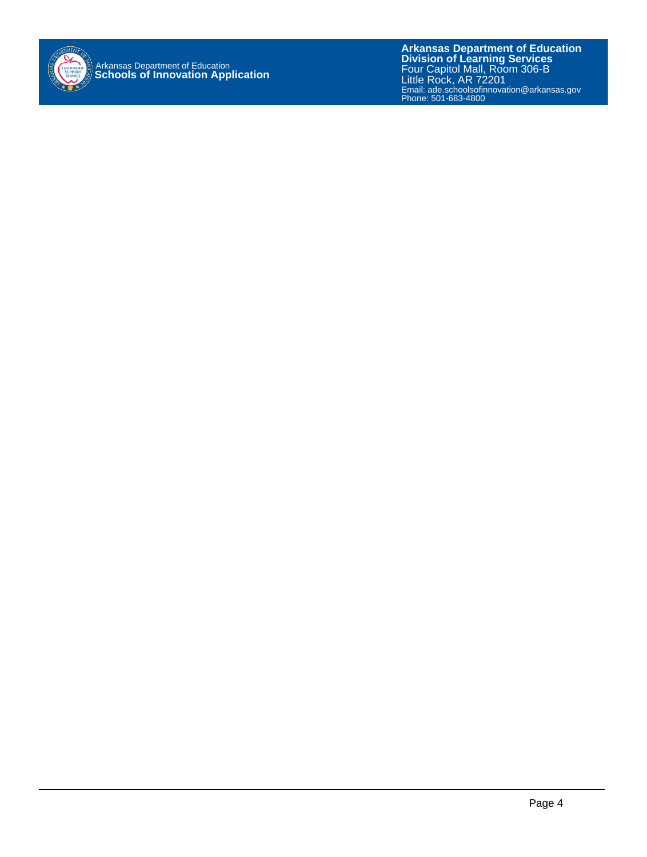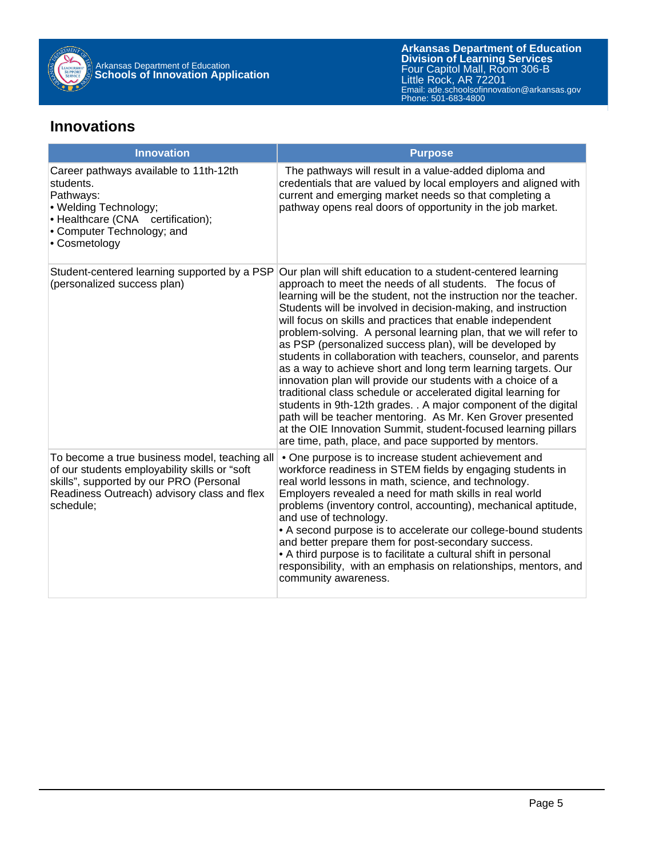

#### **Innovations**

| <b>Innovation</b>                                                                                                                                                                                      | <b>Purpose</b>                                                                                                                                                                                                                                                                                                                                                                                                                                                                                                                                                                                                                                                                                                                                                                                                                                                                                                                                                                                   |
|--------------------------------------------------------------------------------------------------------------------------------------------------------------------------------------------------------|--------------------------------------------------------------------------------------------------------------------------------------------------------------------------------------------------------------------------------------------------------------------------------------------------------------------------------------------------------------------------------------------------------------------------------------------------------------------------------------------------------------------------------------------------------------------------------------------------------------------------------------------------------------------------------------------------------------------------------------------------------------------------------------------------------------------------------------------------------------------------------------------------------------------------------------------------------------------------------------------------|
| Career pathways available to 11th-12th<br>students.<br>Pathways:<br>• Welding Technology;<br>• Healthcare (CNA certification);<br>• Computer Technology; and<br>• Cosmetology                          | The pathways will result in a value-added diploma and<br>credentials that are valued by local employers and aligned with<br>current and emerging market needs so that completing a<br>pathway opens real doors of opportunity in the job market.                                                                                                                                                                                                                                                                                                                                                                                                                                                                                                                                                                                                                                                                                                                                                 |
| Student-centered learning supported by a PSP<br>(personalized success plan)                                                                                                                            | Our plan will shift education to a student-centered learning<br>approach to meet the needs of all students. The focus of<br>learning will be the student, not the instruction nor the teacher.<br>Students will be involved in decision-making, and instruction<br>will focus on skills and practices that enable independent<br>problem-solving. A personal learning plan, that we will refer to<br>as PSP (personalized success plan), will be developed by<br>students in collaboration with teachers, counselor, and parents<br>as a way to achieve short and long term learning targets. Our<br>innovation plan will provide our students with a choice of a<br>traditional class schedule or accelerated digital learning for<br>students in 9th-12th grades. . A major component of the digital<br>path will be teacher mentoring. As Mr. Ken Grover presented<br>at the OIE Innovation Summit, student-focused learning pillars<br>are time, path, place, and pace supported by mentors. |
| To become a true business model, teaching all<br>of our students employability skills or "soft"<br>skills", supported by our PRO (Personal<br>Readiness Outreach) advisory class and flex<br>schedule; | • One purpose is to increase student achievement and<br>workforce readiness in STEM fields by engaging students in<br>real world lessons in math, science, and technology.<br>Employers revealed a need for math skills in real world<br>problems (inventory control, accounting), mechanical aptitude,<br>and use of technology.<br>• A second purpose is to accelerate our college-bound students<br>and better prepare them for post-secondary success.<br>• A third purpose is to facilitate a cultural shift in personal<br>responsibility, with an emphasis on relationships, mentors, and<br>community awareness.                                                                                                                                                                                                                                                                                                                                                                         |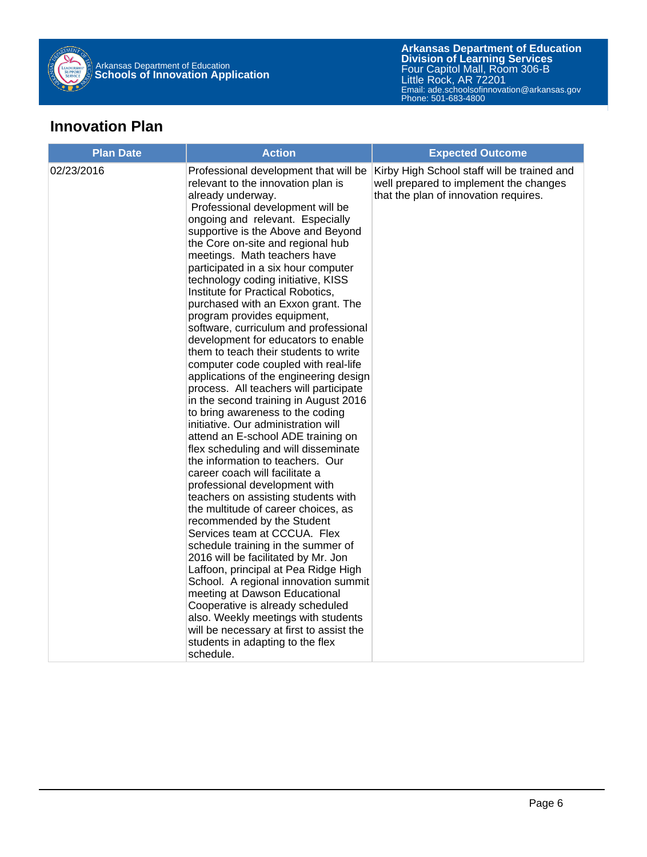

### **Innovation Plan**

| <b>Plan Date</b> | <b>Action</b>                                                                                                                                                                                                                                                                                                                                                                                                                                                                                                                                                                                                                                                                                                                                                                                                                                                                                                                                                                                                                                                                                                                                                                                                                                                                                                                                                                                                                                                                                                                                              | <b>Expected Outcome</b>                                                                                                        |
|------------------|------------------------------------------------------------------------------------------------------------------------------------------------------------------------------------------------------------------------------------------------------------------------------------------------------------------------------------------------------------------------------------------------------------------------------------------------------------------------------------------------------------------------------------------------------------------------------------------------------------------------------------------------------------------------------------------------------------------------------------------------------------------------------------------------------------------------------------------------------------------------------------------------------------------------------------------------------------------------------------------------------------------------------------------------------------------------------------------------------------------------------------------------------------------------------------------------------------------------------------------------------------------------------------------------------------------------------------------------------------------------------------------------------------------------------------------------------------------------------------------------------------------------------------------------------------|--------------------------------------------------------------------------------------------------------------------------------|
| 02/23/2016       | Professional development that will be<br>relevant to the innovation plan is<br>already underway.<br>Professional development will be<br>ongoing and relevant. Especially<br>supportive is the Above and Beyond<br>the Core on-site and regional hub<br>meetings. Math teachers have<br>participated in a six hour computer<br>technology coding initiative, KISS<br>Institute for Practical Robotics,<br>purchased with an Exxon grant. The<br>program provides equipment,<br>software, curriculum and professional<br>development for educators to enable<br>them to teach their students to write<br>computer code coupled with real-life<br>applications of the engineering design<br>process. All teachers will participate<br>in the second training in August 2016<br>to bring awareness to the coding<br>initiative. Our administration will<br>attend an E-school ADE training on<br>flex scheduling and will disseminate<br>the information to teachers. Our<br>career coach will facilitate a<br>professional development with<br>teachers on assisting students with<br>the multitude of career choices, as<br>recommended by the Student<br>Services team at CCCUA. Flex<br>schedule training in the summer of<br>2016 will be facilitated by Mr. Jon<br>Laffoon, principal at Pea Ridge High<br>School. A regional innovation summit<br>meeting at Dawson Educational<br>Cooperative is already scheduled<br>also. Weekly meetings with students<br>will be necessary at first to assist the<br>students in adapting to the flex<br>schedule. | Kirby High School staff will be trained and<br>well prepared to implement the changes<br>that the plan of innovation requires. |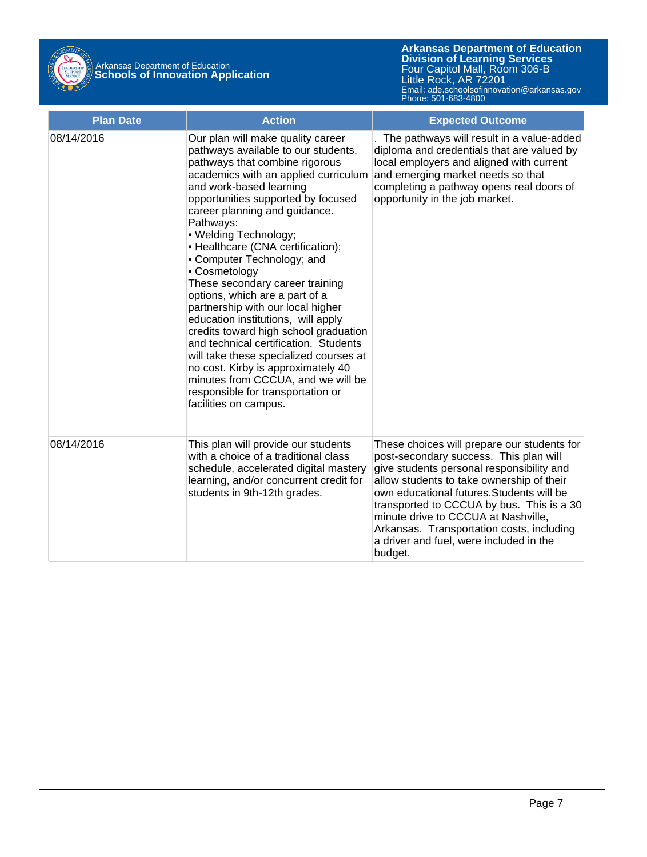

| <b>Plan Date</b> | <b>Action</b>                                                                                                                                                                                                                                                                                                                                                                                                                                                                                                                                                                                                                                                                                                                                                                                        | <b>Expected Outcome</b>                                                                                                                                                                                                                                                                                                                                                                                             |
|------------------|------------------------------------------------------------------------------------------------------------------------------------------------------------------------------------------------------------------------------------------------------------------------------------------------------------------------------------------------------------------------------------------------------------------------------------------------------------------------------------------------------------------------------------------------------------------------------------------------------------------------------------------------------------------------------------------------------------------------------------------------------------------------------------------------------|---------------------------------------------------------------------------------------------------------------------------------------------------------------------------------------------------------------------------------------------------------------------------------------------------------------------------------------------------------------------------------------------------------------------|
| 08/14/2016       | Our plan will make quality career<br>pathways available to our students,<br>pathways that combine rigorous<br>academics with an applied curriculum<br>and work-based learning<br>opportunities supported by focused<br>career planning and guidance.<br>Pathways:<br>• Welding Technology;<br>• Healthcare (CNA certification);<br>• Computer Technology; and<br>• Cosmetology<br>These secondary career training<br>options, which are a part of a<br>partnership with our local higher<br>education institutions, will apply<br>credits toward high school graduation<br>and technical certification. Students<br>will take these specialized courses at<br>no cost. Kirby is approximately 40<br>minutes from CCCUA, and we will be<br>responsible for transportation or<br>facilities on campus. | . The pathways will result in a value-added<br>diploma and credentials that are valued by<br>local employers and aligned with current<br>and emerging market needs so that<br>completing a pathway opens real doors of<br>opportunity in the job market.                                                                                                                                                            |
| 08/14/2016       | This plan will provide our students<br>with a choice of a traditional class<br>schedule, accelerated digital mastery<br>learning, and/or concurrent credit for<br>students in 9th-12th grades.                                                                                                                                                                                                                                                                                                                                                                                                                                                                                                                                                                                                       | These choices will prepare our students for<br>post-secondary success. This plan will<br>give students personal responsibility and<br>allow students to take ownership of their<br>own educational futures. Students will be<br>transported to CCCUA by bus. This is a 30<br>minute drive to CCCUA at Nashville,<br>Arkansas. Transportation costs, including<br>a driver and fuel, were included in the<br>budget. |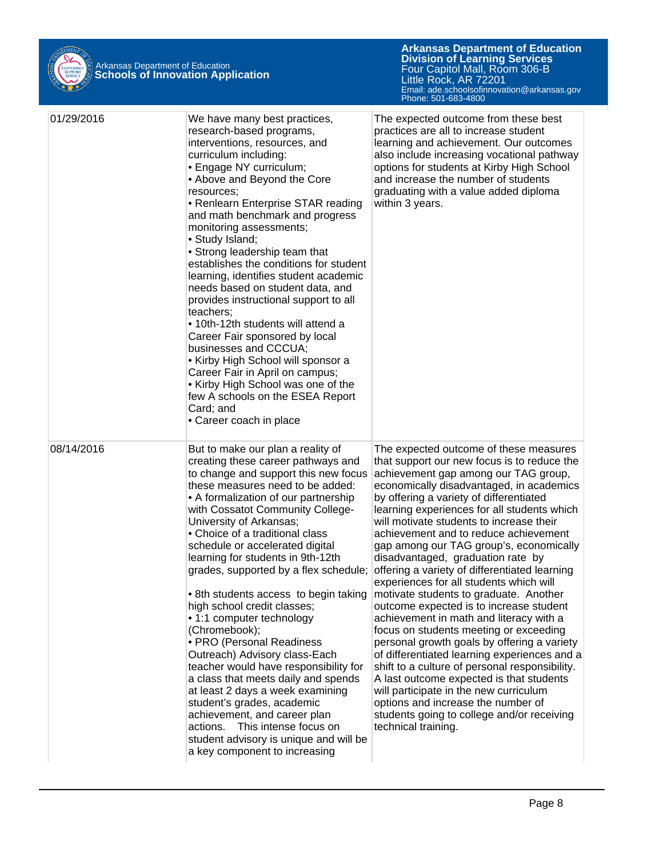

| 01/29/2016 | We have many best practices,<br>research-based programs,<br>interventions, resources, and<br>curriculum including:<br>• Engage NY curriculum;<br>• Above and Beyond the Core<br>resources:<br>• Renlearn Enterprise STAR reading<br>and math benchmark and progress<br>monitoring assessments;<br>• Study Island;<br>• Strong leadership team that<br>establishes the conditions for student<br>learning, identifies student academic<br>needs based on student data, and<br>provides instructional support to all<br>teachers;<br>• 10th-12th students will attend a<br>Career Fair sponsored by local<br>businesses and CCCUA;<br>• Kirby High School will sponsor a<br>Career Fair in April on campus;<br>• Kirby High School was one of the<br>few A schools on the ESEA Report<br>Card; and<br>• Career coach in place                                                                          | The expected outcome from these best<br>practices are all to increase student<br>learning and achievement. Our outcomes<br>also include increasing vocational pathway<br>options for students at Kirby High School<br>and increase the number of students<br>graduating with a value added diploma<br>within 3 years.                                                                                                                                                                                                                                                                                                                                                                                                                                                                                                                                                                                                                                                                                                                                            |
|------------|------------------------------------------------------------------------------------------------------------------------------------------------------------------------------------------------------------------------------------------------------------------------------------------------------------------------------------------------------------------------------------------------------------------------------------------------------------------------------------------------------------------------------------------------------------------------------------------------------------------------------------------------------------------------------------------------------------------------------------------------------------------------------------------------------------------------------------------------------------------------------------------------------|------------------------------------------------------------------------------------------------------------------------------------------------------------------------------------------------------------------------------------------------------------------------------------------------------------------------------------------------------------------------------------------------------------------------------------------------------------------------------------------------------------------------------------------------------------------------------------------------------------------------------------------------------------------------------------------------------------------------------------------------------------------------------------------------------------------------------------------------------------------------------------------------------------------------------------------------------------------------------------------------------------------------------------------------------------------|
| 08/14/2016 | But to make our plan a reality of<br>creating these career pathways and<br>to change and support this new focus<br>these measures need to be added:<br>• A formalization of our partnership<br>with Cossatot Community College-<br>University of Arkansas;<br>• Choice of a traditional class<br>schedule or accelerated digital<br>learning for students in 9th-12th<br>grades, supported by a flex schedule;<br>• 8th students access to begin taking<br>high school credit classes;<br>• 1:1 computer technology<br>(Chromebook);<br>• PRO (Personal Readiness<br>Outreach) Advisory class-Each<br>teacher would have responsibility for<br>a class that meets daily and spends<br>at least 2 days a week examining<br>student's grades, academic<br>achievement, and career plan<br>This intense focus on<br>actions.<br>student advisory is unique and will be<br>a key component to increasing | The expected outcome of these measures<br>that support our new focus is to reduce the<br>achievement gap among our TAG group,<br>economically disadvantaged, in academics<br>by offering a variety of differentiated<br>learning experiences for all students which<br>will motivate students to increase their<br>achievement and to reduce achievement<br>gap among our TAG group's, economically<br>disadvantaged, graduation rate by<br>offering a variety of differentiated learning<br>experiences for all students which will<br>motivate students to graduate. Another<br>outcome expected is to increase student<br>achievement in math and literacy with a<br>focus on students meeting or exceeding<br>personal growth goals by offering a variety<br>of differentiated learning experiences and a<br>shift to a culture of personal responsibility.<br>A last outcome expected is that students<br>will participate in the new curriculum<br>options and increase the number of<br>students going to college and/or receiving<br>technical training. |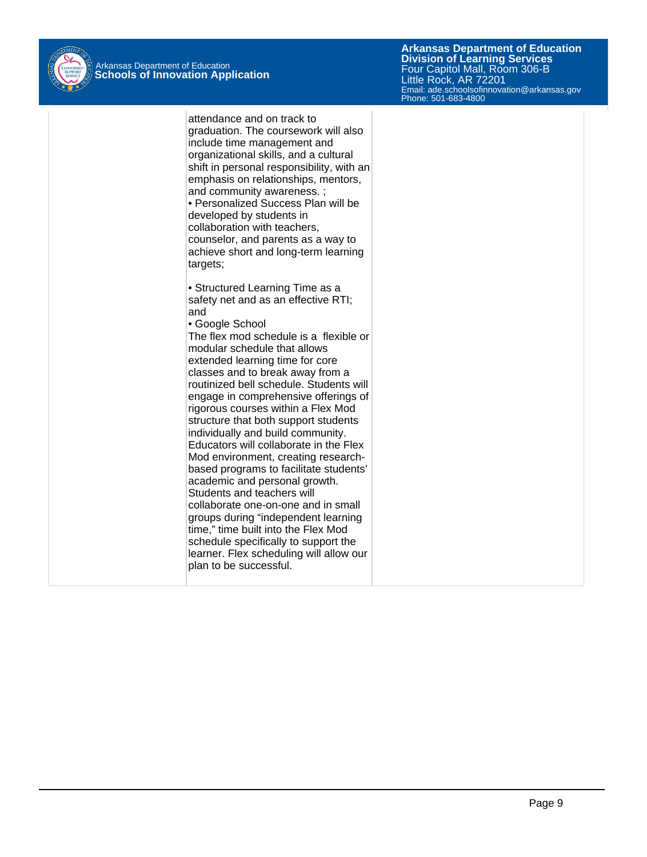

| attendance and on track to<br>graduation. The coursework will also<br>include time management and<br>organizational skills, and a cultural<br>shift in personal responsibility, with an<br>emphasis on relationships, mentors,<br>and community awareness.;<br>• Personalized Success Plan will be<br>developed by students in<br>collaboration with teachers,<br>counselor, and parents as a way to<br>achieve short and long-term learning<br>targets;                                                                                                                                                                                                                                                                                                                                                                                                                            |  |
|-------------------------------------------------------------------------------------------------------------------------------------------------------------------------------------------------------------------------------------------------------------------------------------------------------------------------------------------------------------------------------------------------------------------------------------------------------------------------------------------------------------------------------------------------------------------------------------------------------------------------------------------------------------------------------------------------------------------------------------------------------------------------------------------------------------------------------------------------------------------------------------|--|
| • Structured Learning Time as a<br>safety net and as an effective RTI;<br>and<br>• Google School<br>The flex mod schedule is a flexible or<br>modular schedule that allows<br>extended learning time for core<br>classes and to break away from a<br>routinized bell schedule. Students will<br>engage in comprehensive offerings of<br>rigorous courses within a Flex Mod<br>structure that both support students<br>individually and build community.<br>Educators will collaborate in the Flex<br>Mod environment, creating research-<br>based programs to facilitate students'<br>academic and personal growth.<br>Students and teachers will<br>collaborate one-on-one and in small<br>groups during "independent learning<br>time," time built into the Flex Mod<br>schedule specifically to support the<br>learner. Flex scheduling will allow our<br>plan to be successful. |  |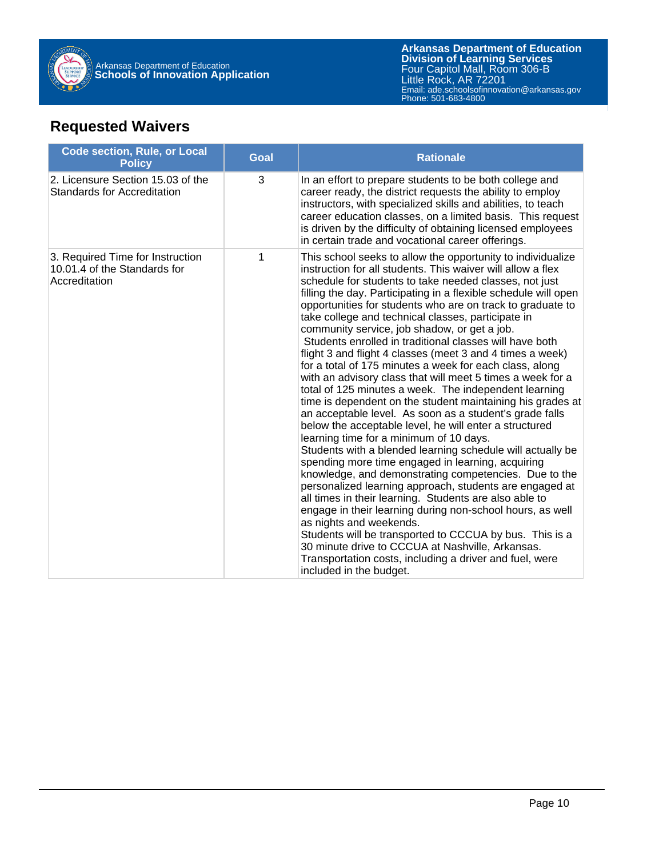

### **Requested Waivers**

| <b>Code section, Rule, or Local</b><br><b>Policy</b>                              | <b>Goal</b> | <b>Rationale</b>                                                                                                                                                                                                                                                                                                                                                                                                                                                                                                                                                                                                                                                                                                                                                                                                                                                                                                                                                                                                                                                                                                                                                                                                                                                                                                                                                                                                                                                                                                                                                  |
|-----------------------------------------------------------------------------------|-------------|-------------------------------------------------------------------------------------------------------------------------------------------------------------------------------------------------------------------------------------------------------------------------------------------------------------------------------------------------------------------------------------------------------------------------------------------------------------------------------------------------------------------------------------------------------------------------------------------------------------------------------------------------------------------------------------------------------------------------------------------------------------------------------------------------------------------------------------------------------------------------------------------------------------------------------------------------------------------------------------------------------------------------------------------------------------------------------------------------------------------------------------------------------------------------------------------------------------------------------------------------------------------------------------------------------------------------------------------------------------------------------------------------------------------------------------------------------------------------------------------------------------------------------------------------------------------|
| 2. Licensure Section 15.03 of the<br><b>Standards for Accreditation</b>           | 3           | In an effort to prepare students to be both college and<br>career ready, the district requests the ability to employ<br>instructors, with specialized skills and abilities, to teach<br>career education classes, on a limited basis. This request<br>is driven by the difficulty of obtaining licensed employees<br>in certain trade and vocational career offerings.                                                                                                                                                                                                                                                                                                                                                                                                                                                                                                                                                                                                                                                                                                                                                                                                                                                                                                                                                                                                                                                                                                                                                                                            |
| 3. Required Time for Instruction<br>10.01.4 of the Standards for<br>Accreditation | 1           | This school seeks to allow the opportunity to individualize<br>instruction for all students. This waiver will allow a flex<br>schedule for students to take needed classes, not just<br>filling the day. Participating in a flexible schedule will open<br>opportunities for students who are on track to graduate to<br>take college and technical classes, participate in<br>community service, job shadow, or get a job.<br>Students enrolled in traditional classes will have both<br>flight 3 and flight 4 classes (meet 3 and 4 times a week)<br>for a total of 175 minutes a week for each class, along<br>with an advisory class that will meet 5 times a week for a<br>total of 125 minutes a week. The independent learning<br>time is dependent on the student maintaining his grades at<br>an acceptable level. As soon as a student's grade falls<br>below the acceptable level, he will enter a structured<br>learning time for a minimum of 10 days.<br>Students with a blended learning schedule will actually be<br>spending more time engaged in learning, acquiring<br>knowledge, and demonstrating competencies. Due to the<br>personalized learning approach, students are engaged at<br>all times in their learning. Students are also able to<br>engage in their learning during non-school hours, as well<br>as nights and weekends.<br>Students will be transported to CCCUA by bus. This is a<br>30 minute drive to CCCUA at Nashville, Arkansas.<br>Transportation costs, including a driver and fuel, were<br>included in the budget. |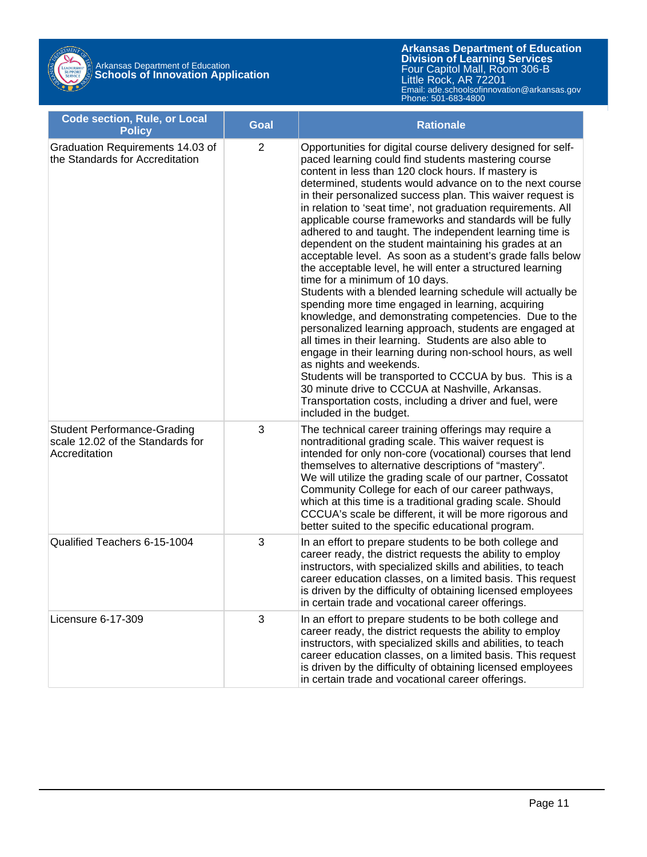| <b>Code section, Rule, or Local</b><br><b>Policy</b>                                    | <b>Goal</b>    | <b>Rationale</b>                                                                                                                                                                                                                                                                                                                                                                                                                                                                                                                                                                                                                                                                                                                                                                                                                                                                                                                                                                                                                                                                                                                                                                                                                                                                                                |
|-----------------------------------------------------------------------------------------|----------------|-----------------------------------------------------------------------------------------------------------------------------------------------------------------------------------------------------------------------------------------------------------------------------------------------------------------------------------------------------------------------------------------------------------------------------------------------------------------------------------------------------------------------------------------------------------------------------------------------------------------------------------------------------------------------------------------------------------------------------------------------------------------------------------------------------------------------------------------------------------------------------------------------------------------------------------------------------------------------------------------------------------------------------------------------------------------------------------------------------------------------------------------------------------------------------------------------------------------------------------------------------------------------------------------------------------------|
| Graduation Requirements 14.03 of<br>the Standards for Accreditation                     | $\overline{2}$ | Opportunities for digital course delivery designed for self-<br>paced learning could find students mastering course<br>content in less than 120 clock hours. If mastery is<br>determined, students would advance on to the next course<br>in their personalized success plan. This waiver request is<br>in relation to 'seat time', not graduation requirements. All<br>applicable course frameworks and standards will be fully<br>adhered to and taught. The independent learning time is<br>dependent on the student maintaining his grades at an<br>acceptable level. As soon as a student's grade falls below<br>the acceptable level, he will enter a structured learning<br>time for a minimum of 10 days.<br>Students with a blended learning schedule will actually be<br>spending more time engaged in learning, acquiring<br>knowledge, and demonstrating competencies. Due to the<br>personalized learning approach, students are engaged at<br>all times in their learning. Students are also able to<br>engage in their learning during non-school hours, as well<br>as nights and weekends.<br>Students will be transported to CCCUA by bus. This is a<br>30 minute drive to CCCUA at Nashville, Arkansas.<br>Transportation costs, including a driver and fuel, were<br>included in the budget. |
| <b>Student Performance-Grading</b><br>scale 12.02 of the Standards for<br>Accreditation | 3              | The technical career training offerings may require a<br>nontraditional grading scale. This waiver request is<br>intended for only non-core (vocational) courses that lend<br>themselves to alternative descriptions of "mastery".<br>We will utilize the grading scale of our partner, Cossatot<br>Community College for each of our career pathways,<br>which at this time is a traditional grading scale. Should<br>CCCUA's scale be different, it will be more rigorous and<br>better suited to the specific educational program.                                                                                                                                                                                                                                                                                                                                                                                                                                                                                                                                                                                                                                                                                                                                                                           |
| Qualified Teachers 6-15-1004                                                            | 3              | In an effort to prepare students to be both college and<br>career ready, the district requests the ability to employ<br>instructors, with specialized skills and abilities, to teach<br>career education classes, on a limited basis. This request<br>is driven by the difficulty of obtaining licensed employees<br>in certain trade and vocational career offerings.                                                                                                                                                                                                                                                                                                                                                                                                                                                                                                                                                                                                                                                                                                                                                                                                                                                                                                                                          |
| Licensure 6-17-309                                                                      | 3              | In an effort to prepare students to be both college and<br>career ready, the district requests the ability to employ<br>instructors, with specialized skills and abilities, to teach<br>career education classes, on a limited basis. This request<br>is driven by the difficulty of obtaining licensed employees<br>in certain trade and vocational career offerings.                                                                                                                                                                                                                                                                                                                                                                                                                                                                                                                                                                                                                                                                                                                                                                                                                                                                                                                                          |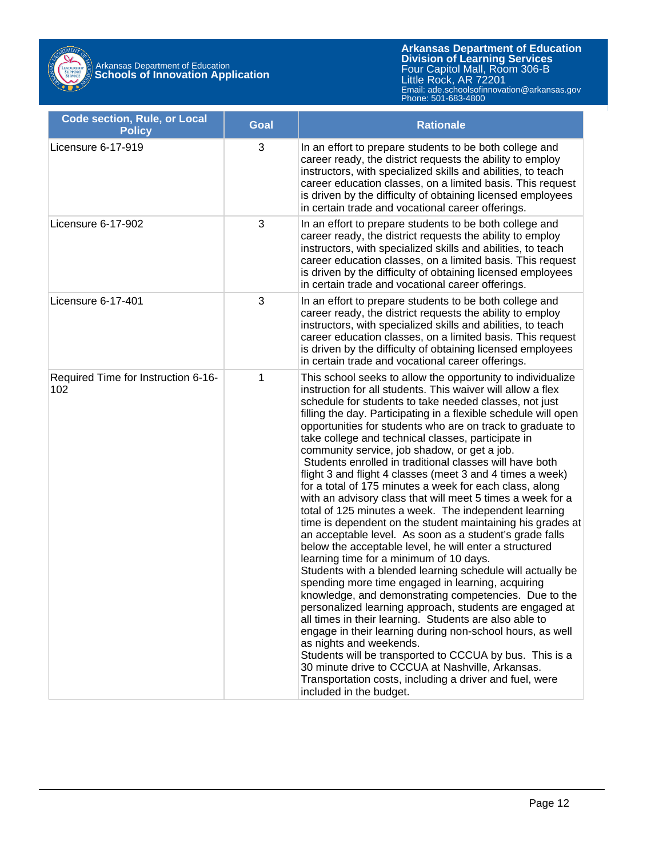

| <b>Code section, Rule, or Local</b><br><b>Policy</b> | <b>Goal</b> | <b>Rationale</b>                                                                                                                                                                                                                                                                                                                                                                                                                                                                                                                                                                                                                                                                                                                                                                                                                                                                                                                                                                                                                                                                                                                                                                                                                                                                                                                                                                                                                                                                                                                                                  |
|------------------------------------------------------|-------------|-------------------------------------------------------------------------------------------------------------------------------------------------------------------------------------------------------------------------------------------------------------------------------------------------------------------------------------------------------------------------------------------------------------------------------------------------------------------------------------------------------------------------------------------------------------------------------------------------------------------------------------------------------------------------------------------------------------------------------------------------------------------------------------------------------------------------------------------------------------------------------------------------------------------------------------------------------------------------------------------------------------------------------------------------------------------------------------------------------------------------------------------------------------------------------------------------------------------------------------------------------------------------------------------------------------------------------------------------------------------------------------------------------------------------------------------------------------------------------------------------------------------------------------------------------------------|
| Licensure 6-17-919                                   | 3           | In an effort to prepare students to be both college and<br>career ready, the district requests the ability to employ<br>instructors, with specialized skills and abilities, to teach<br>career education classes, on a limited basis. This request<br>is driven by the difficulty of obtaining licensed employees<br>in certain trade and vocational career offerings.                                                                                                                                                                                                                                                                                                                                                                                                                                                                                                                                                                                                                                                                                                                                                                                                                                                                                                                                                                                                                                                                                                                                                                                            |
| Licensure 6-17-902                                   | 3           | In an effort to prepare students to be both college and<br>career ready, the district requests the ability to employ<br>instructors, with specialized skills and abilities, to teach<br>career education classes, on a limited basis. This request<br>is driven by the difficulty of obtaining licensed employees<br>in certain trade and vocational career offerings.                                                                                                                                                                                                                                                                                                                                                                                                                                                                                                                                                                                                                                                                                                                                                                                                                                                                                                                                                                                                                                                                                                                                                                                            |
| Licensure 6-17-401                                   | 3           | In an effort to prepare students to be both college and<br>career ready, the district requests the ability to employ<br>instructors, with specialized skills and abilities, to teach<br>career education classes, on a limited basis. This request<br>is driven by the difficulty of obtaining licensed employees<br>in certain trade and vocational career offerings.                                                                                                                                                                                                                                                                                                                                                                                                                                                                                                                                                                                                                                                                                                                                                                                                                                                                                                                                                                                                                                                                                                                                                                                            |
| Required Time for Instruction 6-16-<br>102           | 1           | This school seeks to allow the opportunity to individualize<br>instruction for all students. This waiver will allow a flex<br>schedule for students to take needed classes, not just<br>filling the day. Participating in a flexible schedule will open<br>opportunities for students who are on track to graduate to<br>take college and technical classes, participate in<br>community service, job shadow, or get a job.<br>Students enrolled in traditional classes will have both<br>flight 3 and flight 4 classes (meet 3 and 4 times a week)<br>for a total of 175 minutes a week for each class, along<br>with an advisory class that will meet 5 times a week for a<br>total of 125 minutes a week. The independent learning<br>time is dependent on the student maintaining his grades at<br>an acceptable level. As soon as a student's grade falls<br>below the acceptable level, he will enter a structured<br>learning time for a minimum of 10 days.<br>Students with a blended learning schedule will actually be<br>spending more time engaged in learning, acquiring<br>knowledge, and demonstrating competencies. Due to the<br>personalized learning approach, students are engaged at<br>all times in their learning. Students are also able to<br>engage in their learning during non-school hours, as well<br>as nights and weekends.<br>Students will be transported to CCCUA by bus. This is a<br>30 minute drive to CCCUA at Nashville, Arkansas.<br>Transportation costs, including a driver and fuel, were<br>included in the budget. |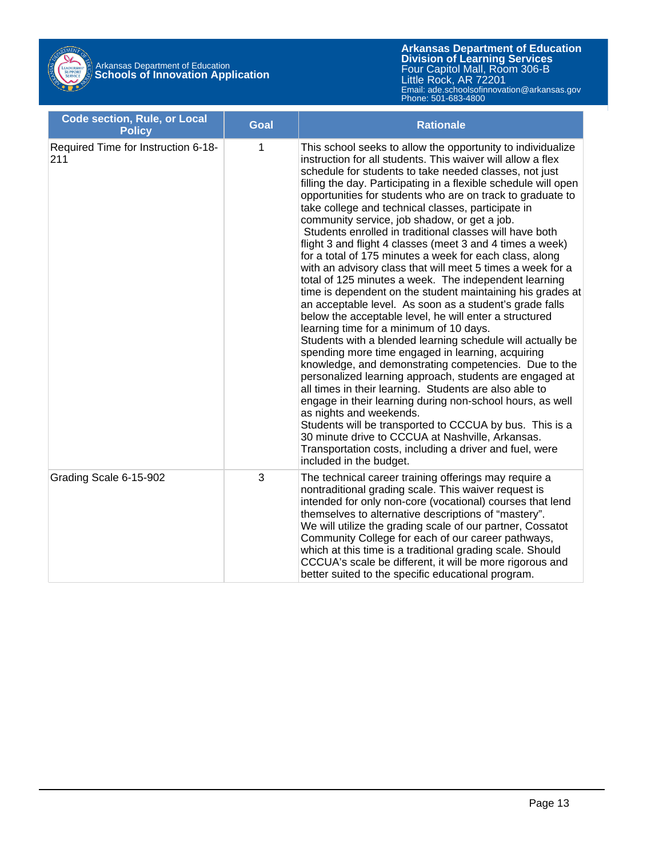

| <b>Code section, Rule, or Local</b><br><b>Policy</b> | <b>Goal</b> | <b>Rationale</b>                                                                                                                                                                                                                                                                                                                                                                                                                                                                                                                                                                                                                                                                                                                                                                                                                                                                                                                                                                                                                                                                                                                                                                                                                                                                                                                                                                                                                                                                                                                                                  |
|------------------------------------------------------|-------------|-------------------------------------------------------------------------------------------------------------------------------------------------------------------------------------------------------------------------------------------------------------------------------------------------------------------------------------------------------------------------------------------------------------------------------------------------------------------------------------------------------------------------------------------------------------------------------------------------------------------------------------------------------------------------------------------------------------------------------------------------------------------------------------------------------------------------------------------------------------------------------------------------------------------------------------------------------------------------------------------------------------------------------------------------------------------------------------------------------------------------------------------------------------------------------------------------------------------------------------------------------------------------------------------------------------------------------------------------------------------------------------------------------------------------------------------------------------------------------------------------------------------------------------------------------------------|
| Required Time for Instruction 6-18-<br>211           | 1           | This school seeks to allow the opportunity to individualize<br>instruction for all students. This waiver will allow a flex<br>schedule for students to take needed classes, not just<br>filling the day. Participating in a flexible schedule will open<br>opportunities for students who are on track to graduate to<br>take college and technical classes, participate in<br>community service, job shadow, or get a job.<br>Students enrolled in traditional classes will have both<br>flight 3 and flight 4 classes (meet 3 and 4 times a week)<br>for a total of 175 minutes a week for each class, along<br>with an advisory class that will meet 5 times a week for a<br>total of 125 minutes a week. The independent learning<br>time is dependent on the student maintaining his grades at<br>an acceptable level. As soon as a student's grade falls<br>below the acceptable level, he will enter a structured<br>learning time for a minimum of 10 days.<br>Students with a blended learning schedule will actually be<br>spending more time engaged in learning, acquiring<br>knowledge, and demonstrating competencies. Due to the<br>personalized learning approach, students are engaged at<br>all times in their learning. Students are also able to<br>engage in their learning during non-school hours, as well<br>as nights and weekends.<br>Students will be transported to CCCUA by bus. This is a<br>30 minute drive to CCCUA at Nashville, Arkansas.<br>Transportation costs, including a driver and fuel, were<br>included in the budget. |
| Grading Scale 6-15-902                               | 3           | The technical career training offerings may require a<br>nontraditional grading scale. This waiver request is<br>intended for only non-core (vocational) courses that lend<br>themselves to alternative descriptions of "mastery".<br>We will utilize the grading scale of our partner, Cossatot<br>Community College for each of our career pathways,<br>which at this time is a traditional grading scale. Should<br>CCCUA's scale be different, it will be more rigorous and<br>better suited to the specific educational program.                                                                                                                                                                                                                                                                                                                                                                                                                                                                                                                                                                                                                                                                                                                                                                                                                                                                                                                                                                                                                             |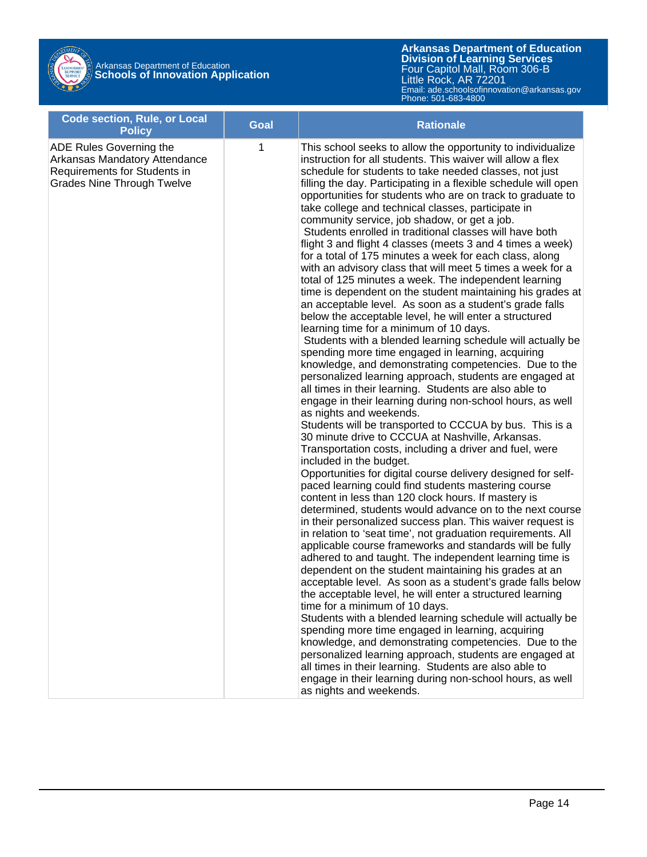

| <b>Code section, Rule, or Local</b><br><b>Policy</b>                                                                          | <b>Goal</b> | <b>Rationale</b>                                                                                                                                                                                                                                                                                                                                                                                                                                                                                                                                                                                                                                                                                                                                                                                                                                                                                                                                                                                                                                                                                                                                                                                                                                                                                                                                                                                                                                                                                                                                                                                                                                                                                                                                                                                                                                                                                                                                                                                                                                                                                                                                                                                                                                                                                                                                                                                                                                                                                                                                                                                                                                                                 |
|-------------------------------------------------------------------------------------------------------------------------------|-------------|----------------------------------------------------------------------------------------------------------------------------------------------------------------------------------------------------------------------------------------------------------------------------------------------------------------------------------------------------------------------------------------------------------------------------------------------------------------------------------------------------------------------------------------------------------------------------------------------------------------------------------------------------------------------------------------------------------------------------------------------------------------------------------------------------------------------------------------------------------------------------------------------------------------------------------------------------------------------------------------------------------------------------------------------------------------------------------------------------------------------------------------------------------------------------------------------------------------------------------------------------------------------------------------------------------------------------------------------------------------------------------------------------------------------------------------------------------------------------------------------------------------------------------------------------------------------------------------------------------------------------------------------------------------------------------------------------------------------------------------------------------------------------------------------------------------------------------------------------------------------------------------------------------------------------------------------------------------------------------------------------------------------------------------------------------------------------------------------------------------------------------------------------------------------------------------------------------------------------------------------------------------------------------------------------------------------------------------------------------------------------------------------------------------------------------------------------------------------------------------------------------------------------------------------------------------------------------------------------------------------------------------------------------------------------------|
| ADE Rules Governing the<br>Arkansas Mandatory Attendance<br>Requirements for Students in<br><b>Grades Nine Through Twelve</b> | 1           | This school seeks to allow the opportunity to individualize<br>instruction for all students. This waiver will allow a flex<br>schedule for students to take needed classes, not just<br>filling the day. Participating in a flexible schedule will open<br>opportunities for students who are on track to graduate to<br>take college and technical classes, participate in<br>community service, job shadow, or get a job.<br>Students enrolled in traditional classes will have both<br>flight 3 and flight 4 classes (meets 3 and 4 times a week)<br>for a total of 175 minutes a week for each class, along<br>with an advisory class that will meet 5 times a week for a<br>total of 125 minutes a week. The independent learning<br>time is dependent on the student maintaining his grades at<br>an acceptable level. As soon as a student's grade falls<br>below the acceptable level, he will enter a structured<br>learning time for a minimum of 10 days.<br>Students with a blended learning schedule will actually be<br>spending more time engaged in learning, acquiring<br>knowledge, and demonstrating competencies. Due to the<br>personalized learning approach, students are engaged at<br>all times in their learning. Students are also able to<br>engage in their learning during non-school hours, as well<br>as nights and weekends.<br>Students will be transported to CCCUA by bus. This is a<br>30 minute drive to CCCUA at Nashville, Arkansas.<br>Transportation costs, including a driver and fuel, were<br>included in the budget.<br>Opportunities for digital course delivery designed for self-<br>paced learning could find students mastering course<br>content in less than 120 clock hours. If mastery is<br>determined, students would advance on to the next course<br>in their personalized success plan. This waiver request is<br>in relation to 'seat time', not graduation requirements. All<br>applicable course frameworks and standards will be fully<br>adhered to and taught. The independent learning time is<br>dependent on the student maintaining his grades at an<br>acceptable level. As soon as a student's grade falls below<br>the acceptable level, he will enter a structured learning<br>time for a minimum of 10 days.<br>Students with a blended learning schedule will actually be<br>spending more time engaged in learning, acquiring<br>knowledge, and demonstrating competencies. Due to the<br>personalized learning approach, students are engaged at<br>all times in their learning. Students are also able to<br>engage in their learning during non-school hours, as well<br>as nights and weekends. |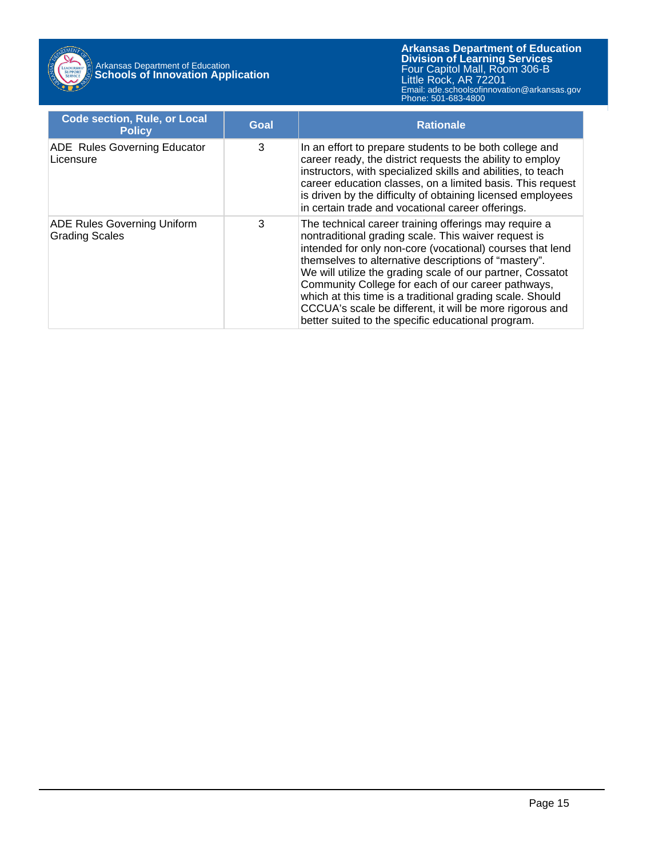

| <b>Code section, Rule, or Local</b><br><b>Policy</b>        | <b>Goal</b> | <b>Rationale</b>                                                                                                                                                                                                                                                                                                                                                                                                                                                                                                                      |
|-------------------------------------------------------------|-------------|---------------------------------------------------------------------------------------------------------------------------------------------------------------------------------------------------------------------------------------------------------------------------------------------------------------------------------------------------------------------------------------------------------------------------------------------------------------------------------------------------------------------------------------|
| <b>ADE</b> Rules Governing Educator<br>Licensure            | 3           | In an effort to prepare students to be both college and<br>career ready, the district requests the ability to employ<br>instructors, with specialized skills and abilities, to teach<br>career education classes, on a limited basis. This request<br>is driven by the difficulty of obtaining licensed employees<br>in certain trade and vocational career offerings.                                                                                                                                                                |
| <b>ADE Rules Governing Uniform</b><br><b>Grading Scales</b> | 3           | The technical career training offerings may require a<br>nontraditional grading scale. This waiver request is<br>intended for only non-core (vocational) courses that lend<br>themselves to alternative descriptions of "mastery".<br>We will utilize the grading scale of our partner, Cossatot<br>Community College for each of our career pathways,<br>which at this time is a traditional grading scale. Should<br>CCCUA's scale be different, it will be more rigorous and<br>better suited to the specific educational program. |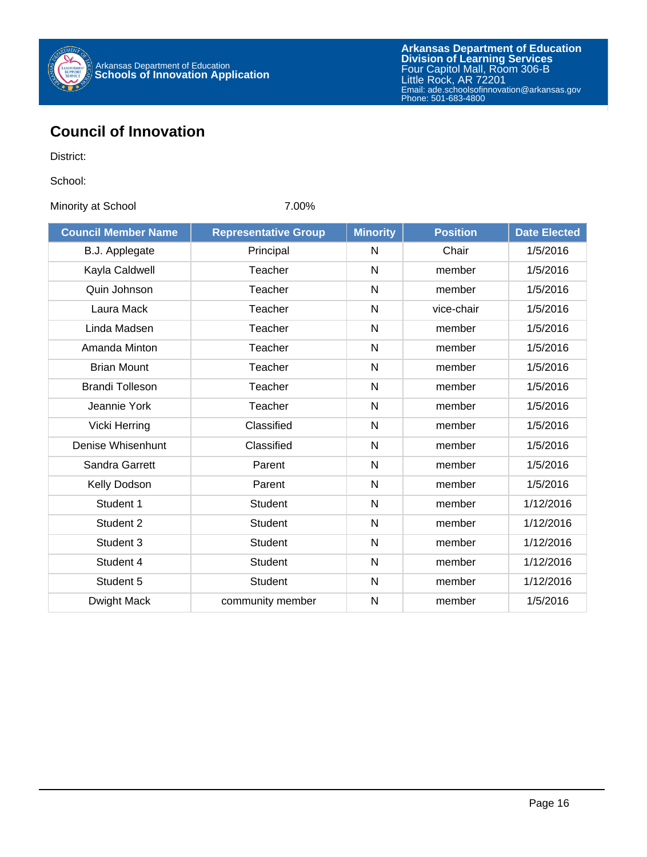

### **Council of Innovation**

District:

School:

Minority at School 7.00%

| <b>Council Member Name</b> | <b>Representative Group</b> | <b>Minority</b> | <b>Position</b> | <b>Date Elected</b> |
|----------------------------|-----------------------------|-----------------|-----------------|---------------------|
| B.J. Applegate             | Principal                   | N               | Chair           | 1/5/2016            |
| Kayla Caldwell             | Teacher                     | N               | member          | 1/5/2016            |
| Quin Johnson               | Teacher                     | $\mathsf{N}$    | member          | 1/5/2016            |
| Laura Mack                 | Teacher                     | $\mathsf{N}$    | vice-chair      | 1/5/2016            |
| Linda Madsen               | Teacher                     | $\mathsf{N}$    | member          | 1/5/2016            |
| Amanda Minton              | Teacher                     | $\mathsf{N}$    | member          | 1/5/2016            |
| <b>Brian Mount</b>         | Teacher                     | $\mathsf{N}$    | member          | 1/5/2016            |
| <b>Brandi Tolleson</b>     | Teacher                     | $\mathsf{N}$    | member          | 1/5/2016            |
| Jeannie York               | Teacher                     | N               | member          | 1/5/2016            |
| Vicki Herring              | Classified                  | $\mathsf{N}$    | member          | 1/5/2016            |
| Denise Whisenhunt          | Classified                  | $\mathsf{N}$    | member          | 1/5/2016            |
| Sandra Garrett             | Parent                      | $\mathsf{N}$    | member          | 1/5/2016            |
| Kelly Dodson               | Parent                      | $\mathsf{N}$    | member          | 1/5/2016            |
| Student 1                  | <b>Student</b>              | $\mathsf{N}$    | member          | 1/12/2016           |
| Student 2                  | <b>Student</b>              | $\mathsf{N}$    | member          | 1/12/2016           |
| Student 3                  | <b>Student</b>              | N               | member          | 1/12/2016           |
| Student 4                  | <b>Student</b>              | $\mathsf{N}$    | member          | 1/12/2016           |
| Student 5                  | <b>Student</b>              | $\mathsf{N}$    | member          | 1/12/2016           |
| Dwight Mack                | community member            | $\mathsf{N}$    | member          | 1/5/2016            |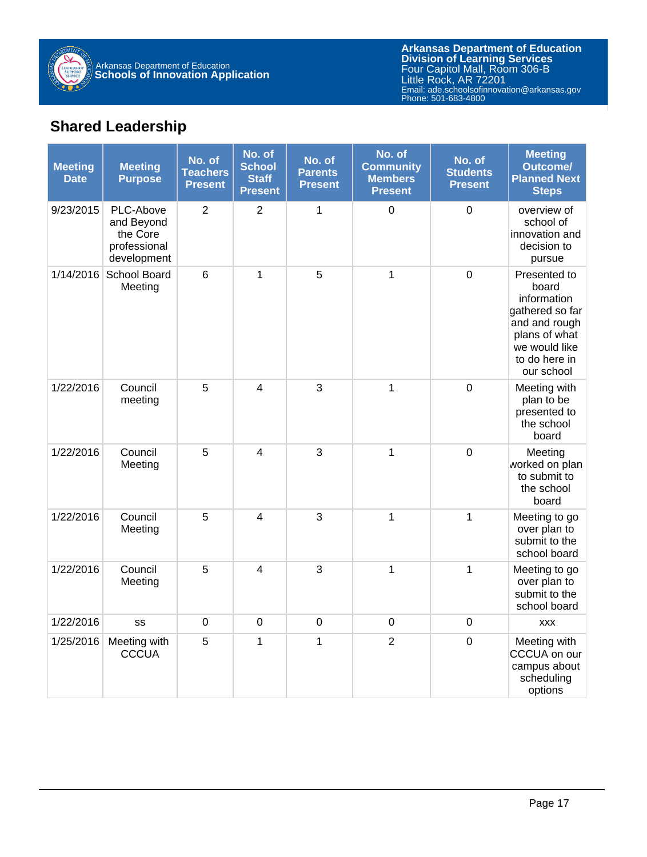

### **Shared Leadership**

| <b>Meeting</b><br><b>Date</b> | <b>Meeting</b><br><b>Purpose</b>                                   | No. of<br><b>Teachers</b><br><b>Present</b> | No. of<br><b>School</b><br><b>Staff</b><br><b>Present</b> | No. of<br><b>Parents</b><br><b>Present</b> | No. of<br><b>Community</b><br><b>Members</b><br><b>Present</b> | No. of<br><b>Students</b><br><b>Present</b> | <b>Meeting</b><br><b>Outcome/</b><br><b>Planned Next</b><br><b>Steps</b>                                                                  |
|-------------------------------|--------------------------------------------------------------------|---------------------------------------------|-----------------------------------------------------------|--------------------------------------------|----------------------------------------------------------------|---------------------------------------------|-------------------------------------------------------------------------------------------------------------------------------------------|
| 9/23/2015                     | PLC-Above<br>and Beyond<br>the Core<br>professional<br>development | $\overline{2}$                              | $\overline{2}$                                            | 1                                          | $\Omega$                                                       | $\mathbf 0$                                 | overview of<br>school of<br>innovation and<br>decision to<br>pursue                                                                       |
| 1/14/2016                     | <b>School Board</b><br>Meeting                                     | $6\phantom{1}$                              | $\mathbf{1}$                                              | 5                                          | $\mathbf{1}$                                                   | $\mathbf 0$                                 | Presented to<br>board<br>information<br>gathered so far<br>and and rough<br>plans of what<br>we would like<br>to do here in<br>our school |
| 1/22/2016                     | Council<br>meeting                                                 | 5                                           | $\overline{\mathbf{4}}$                                   | 3                                          | $\mathbf{1}$                                                   | $\mathbf 0$                                 | Meeting with<br>plan to be<br>presented to<br>the school<br>board                                                                         |
| 1/22/2016                     | Council<br>Meeting                                                 | 5                                           | $\overline{4}$                                            | 3                                          | $\mathbf{1}$                                                   | $\mathbf 0$                                 | Meeting<br>worked on plan<br>to submit to<br>the school<br>board                                                                          |
| 1/22/2016                     | Council<br>Meeting                                                 | 5                                           | $\overline{\mathbf{4}}$                                   | 3                                          | $\mathbf{1}$                                                   | $\mathbf{1}$                                | Meeting to go<br>over plan to<br>submit to the<br>school board                                                                            |
| 1/22/2016                     | Council<br>Meeting                                                 | 5                                           | $\overline{4}$                                            | 3                                          | $\mathbf{1}$                                                   | 1                                           | Meeting to go<br>over plan to<br>submit to the<br>school board                                                                            |
| 1/22/2016                     | SS                                                                 | $\boldsymbol{0}$                            | $\mathbf 0$                                               | $\mathbf 0$                                | $\mathbf 0$                                                    | $\mathbf 0$                                 | <b>XXX</b>                                                                                                                                |
| 1/25/2016                     | Meeting with<br><b>CCCUA</b>                                       | 5                                           | $\mathbf{1}$                                              | $\mathbf{1}$                               | $\overline{2}$                                                 | $\mathbf 0$                                 | Meeting with<br>CCCUA on our<br>campus about<br>scheduling<br>options                                                                     |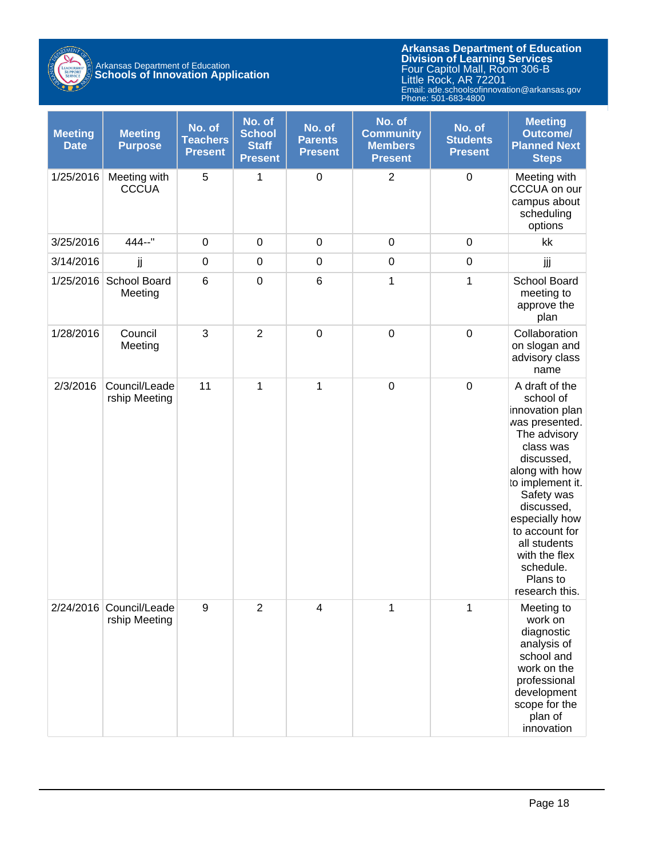

| <b>Meeting</b><br><b>Date</b> | <b>Meeting</b><br><b>Purpose</b>         | No. of<br><b>Teachers</b><br><b>Present</b> | No. of<br><b>School</b><br><b>Staff</b><br><b>Present</b> | No. of<br><b>Parents</b><br><b>Present</b> | No. of<br><b>Community</b><br><b>Members</b><br><b>Present</b> | No. of<br><b>Students</b><br><b>Present</b> | <b>Meeting</b><br><b>Outcome/</b><br><b>Planned Next</b><br><b>Steps</b>                                                                                                                                                                                                                      |
|-------------------------------|------------------------------------------|---------------------------------------------|-----------------------------------------------------------|--------------------------------------------|----------------------------------------------------------------|---------------------------------------------|-----------------------------------------------------------------------------------------------------------------------------------------------------------------------------------------------------------------------------------------------------------------------------------------------|
| 1/25/2016                     | Meeting with<br><b>CCCUA</b>             | 5                                           | 1                                                         | $\pmb{0}$                                  | 2                                                              | $\boldsymbol{0}$                            | Meeting with<br>CCCUA on our<br>campus about<br>scheduling<br>options                                                                                                                                                                                                                         |
| 3/25/2016                     | 444 -- "                                 | $\pmb{0}$                                   | $\mathbf 0$                                               | $\mathbf 0$                                | $\mathbf 0$                                                    | $\mathbf 0$                                 | kk                                                                                                                                                                                                                                                                                            |
| 3/14/2016                     | jj                                       | $\pmb{0}$                                   | $\mathbf 0$                                               | $\pmb{0}$                                  | $\boldsymbol{0}$                                               | $\boldsymbol{0}$                            | jjj                                                                                                                                                                                                                                                                                           |
| 1/25/2016                     | <b>School Board</b><br>Meeting           | $\,6$                                       | $\mathbf 0$                                               | $\,6$                                      | $\mathbf 1$                                                    | 1                                           | <b>School Board</b><br>meeting to<br>approve the<br>plan                                                                                                                                                                                                                                      |
| 1/28/2016                     | Council<br>Meeting                       | 3                                           | $\overline{2}$                                            | $\mathsf 0$                                | $\mathbf 0$                                                    | $\mathbf 0$                                 | Collaboration<br>on slogan and<br>advisory class<br>name                                                                                                                                                                                                                                      |
| 2/3/2016                      | Council/Leade<br>rship Meeting           | 11                                          | 1                                                         | 1                                          | $\mathbf 0$                                                    | $\mathbf 0$                                 | A draft of the<br>school of<br>innovation plan<br>was presented.<br>The advisory<br>class was<br>discussed,<br>along with how<br>to implement it.<br>Safety was<br>discussed,<br>especially how<br>to account for<br>all students<br>with the flex<br>schedule.<br>Plans to<br>research this. |
|                               | 2/24/2016 Council/Leade<br>rship Meeting | 9                                           | $\overline{2}$                                            | 4                                          | 1                                                              | 1                                           | Meeting to<br>work on<br>diagnostic<br>analysis of<br>school and<br>work on the<br>professional<br>development<br>scope for the<br>plan of<br>innovation                                                                                                                                      |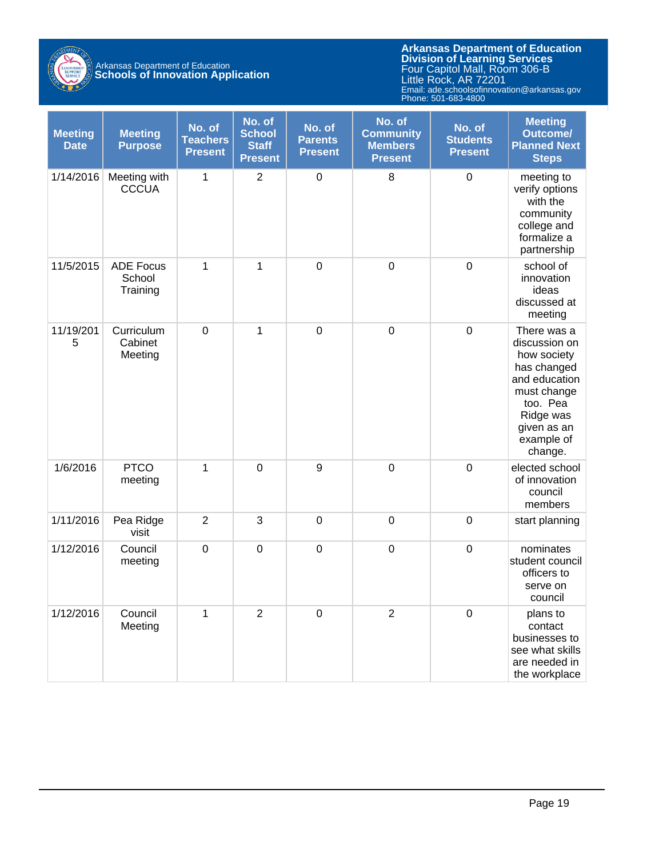

| <b>Meeting</b><br><b>Date</b> | <b>Meeting</b><br><b>Purpose</b>       | No. of<br><b>Teachers</b><br><b>Present</b> | No. of<br><b>School</b><br><b>Staff</b><br><b>Present</b> | No. of<br><b>Parents</b><br><b>Present</b> | No. of<br><b>Community</b><br><b>Members</b><br><b>Present</b> | No. of<br><b>Students</b><br><b>Present</b> | <b>Meeting</b><br><b>Outcome/</b><br><b>Planned Next</b><br><b>Steps</b>                                                                                    |
|-------------------------------|----------------------------------------|---------------------------------------------|-----------------------------------------------------------|--------------------------------------------|----------------------------------------------------------------|---------------------------------------------|-------------------------------------------------------------------------------------------------------------------------------------------------------------|
| 1/14/2016                     | Meeting with<br><b>CCCUA</b>           | 1                                           | $\overline{2}$                                            | $\boldsymbol{0}$                           | 8                                                              | $\boldsymbol{0}$                            | meeting to<br>verify options<br>with the<br>community<br>college and<br>formalize a<br>partnership                                                          |
| 11/5/2015                     | <b>ADE Focus</b><br>School<br>Training | 1                                           | 1                                                         | $\mathbf 0$                                | $\mathbf 0$                                                    | $\boldsymbol{0}$                            | school of<br>innovation<br>ideas<br>discussed at<br>meeting                                                                                                 |
| 11/19/201<br>5                | Curriculum<br>Cabinet<br>Meeting       | $\mathbf 0$                                 | 1                                                         | $\mathbf 0$                                | $\mathbf 0$                                                    | $\mathbf 0$                                 | There was a<br>discussion on<br>how society<br>has changed<br>and education<br>must change<br>too. Pea<br>Ridge was<br>given as an<br>example of<br>change. |
| 1/6/2016                      | <b>PTCO</b><br>meeting                 | $\mathbf{1}$                                | $\mathbf 0$                                               | 9                                          | $\mathbf 0$                                                    | $\mathbf 0$                                 | elected school<br>of innovation<br>council<br>members                                                                                                       |
| 1/11/2016                     | Pea Ridge<br>visit                     | $\overline{2}$                              | 3                                                         | $\boldsymbol{0}$                           | $\mathbf 0$                                                    | $\boldsymbol{0}$                            | start planning                                                                                                                                              |
| 1/12/2016                     | Council<br>meeting                     | $\boldsymbol{0}$                            | $\mathbf 0$                                               | $\mathbf 0$                                | $\boldsymbol{0}$                                               | $\boldsymbol{0}$                            | nominates<br>student council<br>officers to<br>serve on<br>council                                                                                          |
| 1/12/2016                     | Council<br>Meeting                     | 1                                           | $\overline{2}$                                            | $\mathbf 0$                                | $\overline{2}$                                                 | $\boldsymbol{0}$                            | plans to<br>contact<br>businesses to<br>see what skills<br>are needed in<br>the workplace                                                                   |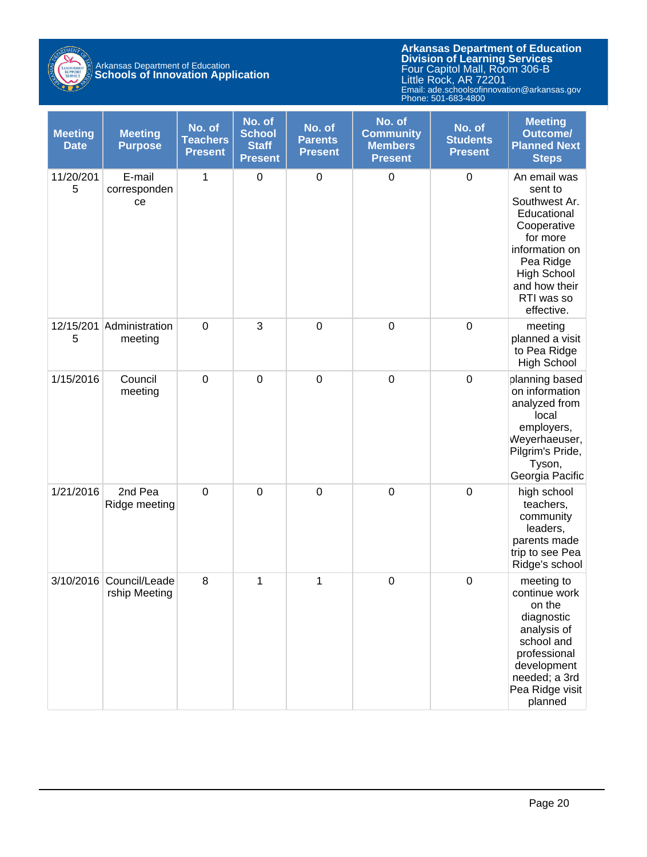

| <b>Meeting</b><br><b>Date</b> | <b>Meeting</b><br><b>Purpose</b>         | No. of<br><b>Teachers</b><br><b>Present</b> | No. of<br><b>School</b><br><b>Staff</b><br><b>Present</b> | No. of<br><b>Parents</b><br><b>Present</b> | No. of<br><b>Community</b><br><b>Members</b><br><b>Present</b> | No. of<br><b>Students</b><br><b>Present</b> | <b>Meeting</b><br><b>Outcome/</b><br><b>Planned Next</b><br><b>Steps</b>                                                                                                             |
|-------------------------------|------------------------------------------|---------------------------------------------|-----------------------------------------------------------|--------------------------------------------|----------------------------------------------------------------|---------------------------------------------|--------------------------------------------------------------------------------------------------------------------------------------------------------------------------------------|
| 11/20/201<br>5                | E-mail<br>corresponden<br>ce             | 1                                           | $\boldsymbol{0}$                                          | $\boldsymbol{0}$                           | $\boldsymbol{0}$                                               | $\boldsymbol{0}$                            | An email was<br>sent to<br>Southwest Ar.<br>Educational<br>Cooperative<br>for more<br>information on<br>Pea Ridge<br><b>High School</b><br>and how their<br>RTI was so<br>effective. |
| 12/15/201<br>5                | Administration<br>meeting                | $\mathbf 0$                                 | 3                                                         | $\mathbf 0$                                | $\boldsymbol{0}$                                               | $\mathbf 0$                                 | meeting<br>planned a visit<br>to Pea Ridge<br><b>High School</b>                                                                                                                     |
| 1/15/2016                     | Council<br>meeting                       | $\mathbf 0$                                 | $\mathbf 0$                                               | $\mathbf 0$                                | $\mathbf 0$                                                    | $\boldsymbol{0}$                            | planning based<br>on information<br>analyzed from<br>local<br>employers,<br>Weyerhaeuser,<br>Pilgrim's Pride,<br>Tyson,<br>Georgia Pacific                                           |
| 1/21/2016                     | 2nd Pea<br>Ridge meeting                 | $\mathbf 0$                                 | $\mathbf 0$                                               | $\mathbf 0$                                | $\boldsymbol{0}$                                               | $\mathbf 0$                                 | high school<br>teachers,<br>community<br>leaders,<br>parents made<br>trip to see Pea<br>Ridge's school                                                                               |
|                               | 3/10/2016 Council/Leade<br>rship Meeting | 8                                           | 1                                                         | 1                                          | $\boldsymbol{0}$                                               | $\mathbf 0$                                 | meeting to<br>continue work<br>on the<br>diagnostic<br>analysis of<br>school and<br>professional<br>development<br>needed; a 3rd<br>Pea Ridge visit<br>planned                       |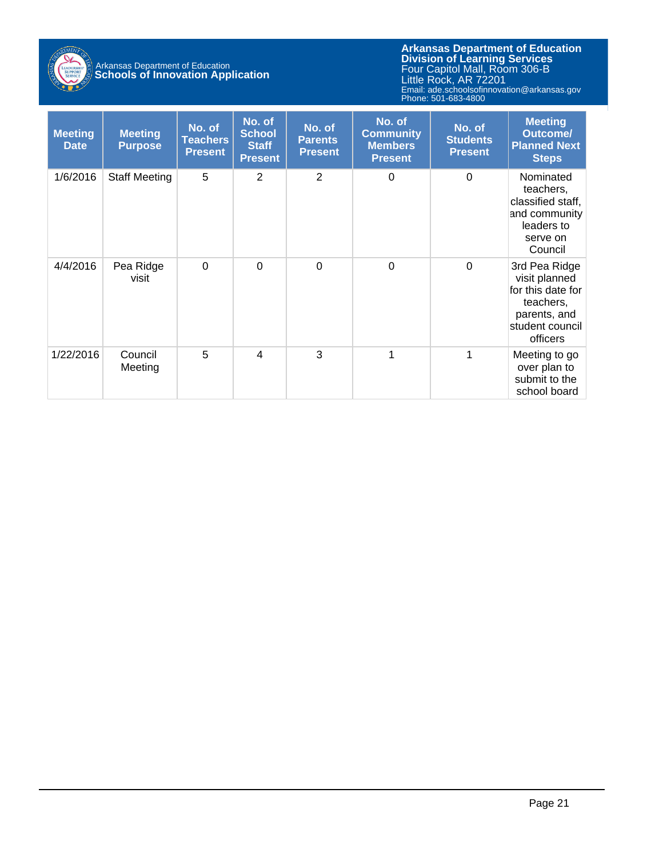

| <b>Meeting</b><br><b>Date</b> | <b>Meeting</b><br><b>Purpose</b> | No. of<br><b>Teachers</b><br><b>Present</b> | No. of<br><b>School</b><br><b>Staff</b><br><b>Present</b> | No. of<br><b>Parents</b><br><b>Present</b> | No. of<br><b>Community</b><br><b>Members</b><br><b>Present</b> | No. of<br><b>Students</b><br><b>Present</b> | <b>Meeting</b><br><b>Outcome/</b><br><b>Planned Next</b><br><b>Steps</b>                                        |
|-------------------------------|----------------------------------|---------------------------------------------|-----------------------------------------------------------|--------------------------------------------|----------------------------------------------------------------|---------------------------------------------|-----------------------------------------------------------------------------------------------------------------|
| 1/6/2016                      | <b>Staff Meeting</b>             | 5                                           | 2                                                         | $\overline{2}$                             | 0                                                              | $\overline{0}$                              | Nominated<br>teachers,<br>classified staff,<br>and community<br>leaders to<br>serve on<br>Council               |
| 4/4/2016                      | Pea Ridge<br>visit               | $\Omega$                                    | $\Omega$                                                  | $\Omega$                                   | $\Omega$                                                       | $\Omega$                                    | 3rd Pea Ridge<br>visit planned<br>for this date for<br>teachers,<br>parents, and<br>student council<br>officers |
| 1/22/2016                     | Council<br>Meeting               | 5                                           | $\overline{4}$                                            | 3                                          | 1                                                              | 1                                           | Meeting to go<br>over plan to<br>submit to the<br>school board                                                  |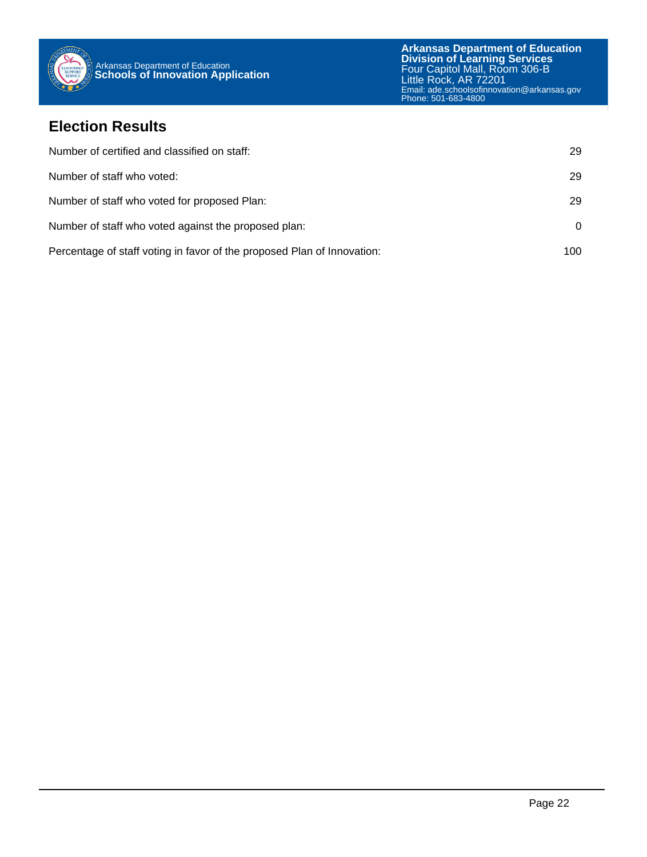

### **Election Results**

| Number of certified and classified on staff:                            | 29       |
|-------------------------------------------------------------------------|----------|
| Number of staff who voted:                                              | 29       |
| Number of staff who voted for proposed Plan:                            | 29       |
| Number of staff who voted against the proposed plan:                    | $\Omega$ |
| Percentage of staff voting in favor of the proposed Plan of Innovation: | 100      |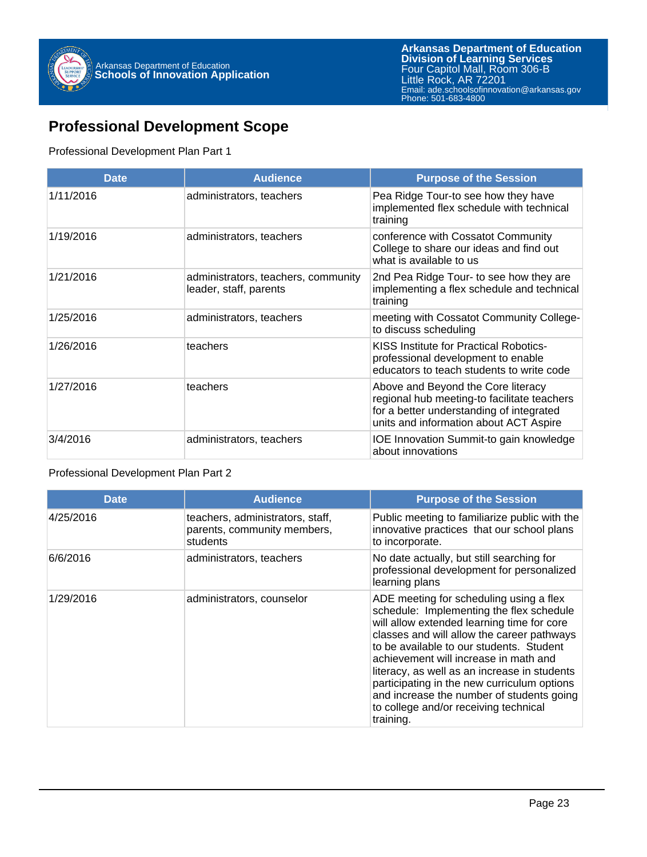

### **Professional Development Scope**

#### Professional Development Plan Part 1

| <b>Date</b> | <b>Audience</b>                                               | <b>Purpose of the Session</b>                                                                                                                                           |
|-------------|---------------------------------------------------------------|-------------------------------------------------------------------------------------------------------------------------------------------------------------------------|
| 1/11/2016   | administrators, teachers                                      | Pea Ridge Tour-to see how they have<br>implemented flex schedule with technical<br>training                                                                             |
| 1/19/2016   | administrators, teachers                                      | conference with Cossatot Community<br>College to share our ideas and find out<br>what is available to us                                                                |
| 1/21/2016   | administrators, teachers, community<br>leader, staff, parents | 2nd Pea Ridge Tour- to see how they are<br>implementing a flex schedule and technical<br>training                                                                       |
| 1/25/2016   | administrators, teachers                                      | meeting with Cossatot Community College-<br>to discuss scheduling                                                                                                       |
| 1/26/2016   | teachers                                                      | KISS Institute for Practical Robotics-<br>professional development to enable<br>educators to teach students to write code                                               |
| 1/27/2016   | teachers                                                      | Above and Beyond the Core literacy<br>regional hub meeting-to facilitate teachers<br>for a better understanding of integrated<br>units and information about ACT Aspire |
| 3/4/2016    | administrators, teachers                                      | IOE Innovation Summit-to gain knowledge<br>about innovations                                                                                                            |

#### Professional Development Plan Part 2

| <b>Date</b> | <b>Audience</b>                                                             | <b>Purpose of the Session</b>                                                                                                                                                                                                                                                                                                                                                                                                                                          |
|-------------|-----------------------------------------------------------------------------|------------------------------------------------------------------------------------------------------------------------------------------------------------------------------------------------------------------------------------------------------------------------------------------------------------------------------------------------------------------------------------------------------------------------------------------------------------------------|
| 4/25/2016   | teachers, administrators, staff,<br>parents, community members,<br>students | Public meeting to familiarize public with the<br>innovative practices that our school plans<br>to incorporate.                                                                                                                                                                                                                                                                                                                                                         |
| 6/6/2016    | administrators, teachers                                                    | No date actually, but still searching for<br>professional development for personalized<br>learning plans                                                                                                                                                                                                                                                                                                                                                               |
| 1/29/2016   | administrators, counselor                                                   | ADE meeting for scheduling using a flex<br>schedule: Implementing the flex schedule<br>will allow extended learning time for core<br>classes and will allow the career pathways<br>to be available to our students. Student<br>achievement will increase in math and<br>literacy, as well as an increase in students<br>participating in the new curriculum options<br>and increase the number of students going<br>to college and/or receiving technical<br>training. |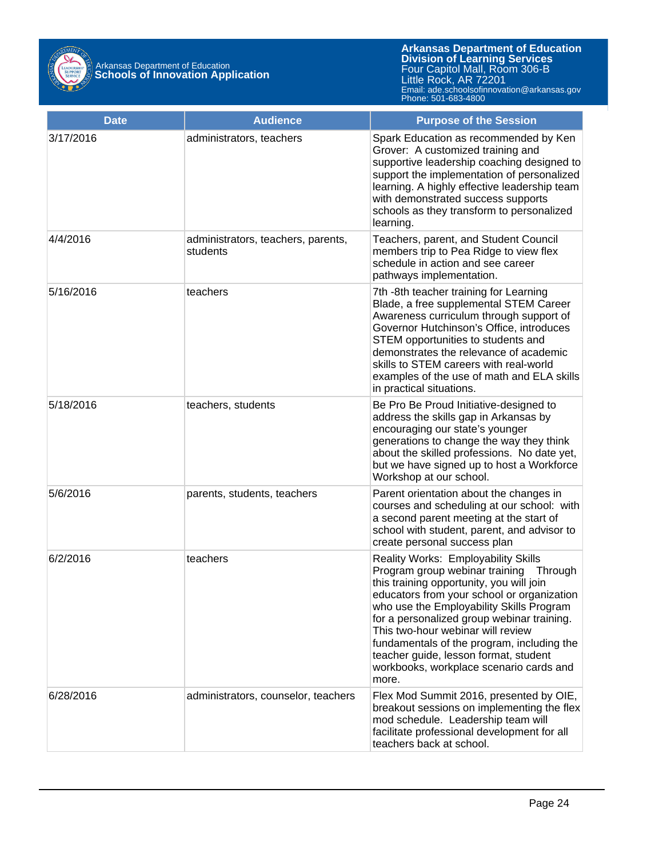

| <b>Date</b> | <b>Audience</b>                                | <b>Purpose of the Session</b>                                                                                                                                                                                                                                                                                                                                                                                                                        |  |  |  |
|-------------|------------------------------------------------|------------------------------------------------------------------------------------------------------------------------------------------------------------------------------------------------------------------------------------------------------------------------------------------------------------------------------------------------------------------------------------------------------------------------------------------------------|--|--|--|
| 3/17/2016   | administrators, teachers                       | Spark Education as recommended by Ken<br>Grover: A customized training and<br>supportive leadership coaching designed to<br>support the implementation of personalized<br>learning. A highly effective leadership team<br>with demonstrated success supports<br>schools as they transform to personalized<br>learning.                                                                                                                               |  |  |  |
| 4/4/2016    | administrators, teachers, parents,<br>students | Teachers, parent, and Student Council<br>members trip to Pea Ridge to view flex<br>schedule in action and see career<br>pathways implementation.                                                                                                                                                                                                                                                                                                     |  |  |  |
| 5/16/2016   | teachers                                       | 7th -8th teacher training for Learning<br>Blade, a free supplemental STEM Career<br>Awareness curriculum through support of<br>Governor Hutchinson's Office, introduces<br>STEM opportunities to students and<br>demonstrates the relevance of academic<br>skills to STEM careers with real-world<br>examples of the use of math and ELA skills<br>in practical situations.                                                                          |  |  |  |
| 5/18/2016   | teachers, students                             | Be Pro Be Proud Initiative-designed to<br>address the skills gap in Arkansas by<br>encouraging our state's younger<br>generations to change the way they think<br>about the skilled professions. No date yet,<br>but we have signed up to host a Workforce<br>Workshop at our school.                                                                                                                                                                |  |  |  |
| 5/6/2016    | parents, students, teachers                    | Parent orientation about the changes in<br>courses and scheduling at our school: with<br>a second parent meeting at the start of<br>school with student, parent, and advisor to<br>create personal success plan                                                                                                                                                                                                                                      |  |  |  |
| 6/2/2016    | teachers                                       | Reality Works: Employability Skills<br>Program group webinar training<br>Through<br>this training opportunity, you will join<br>educators from your school or organization<br>who use the Employability Skills Program<br>for a personalized group webinar training.<br>This two-hour webinar will review<br>fundamentals of the program, including the<br>teacher guide, lesson format, student<br>workbooks, workplace scenario cards and<br>more. |  |  |  |
| 6/28/2016   | administrators, counselor, teachers            | Flex Mod Summit 2016, presented by OIE,<br>breakout sessions on implementing the flex<br>mod schedule. Leadership team will<br>facilitate professional development for all<br>teachers back at school.                                                                                                                                                                                                                                               |  |  |  |